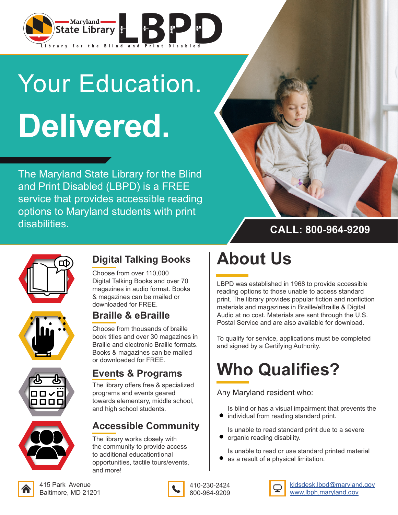

## Your Education. **Delivered.**

The Maryland State Library for the Blind and Print Disabled (LBPD) is a FREE service that provides accessible reading options to Maryland students with print disabilities.



## **CALL: 800-964-9209**





#### **Digital Talking Books**

Choose from over 110,000 Digital Talking Books and over 70 magazines in audio format. Books & magazines can be mailed or downloaded for FREE.

#### **Braille & eBraille**

Choose from thousands of braille book titles and over 30 magazines in Braille and electronic Braille formats. Books & magazines can be mailed or downloaded for FREE.

# nnnr

#### **Events & Programs**

The library offers free & specialized programs and events geared towards elementary, middle school, and high school students.

## **Accessible Community**

The library works closely with the community to provide access to additional educationtional opportunities, tactile tours/events, and more!

## **About Us**

LBPD was established in 1968 to provide accessible reading options to those unable to access standard print. The library provides popular fiction and nonfiction materials and magazines in Braille/eBraille & Digital Audio at no cost. Materials are sent through the U.S. Postal Service and are also available for download.

To qualify for service, applications must be completed and signed by a Certifying Authority.

## **Who Qualifies?**

Any Maryland resident who:

Is blind or has a visual impairment that prevents the  $\bullet$  individual from reading standard print.

Is unable to read standard print due to a severe organic reading disability.

Is unable to read or use standard printed material

as a result of a physical limitation.



kidsdesk.lbpd@maryland.gov www.lbph.maryland.gov

415 Park Avenue Baltimore, MD 21201



410-230-2424 800-964-9209